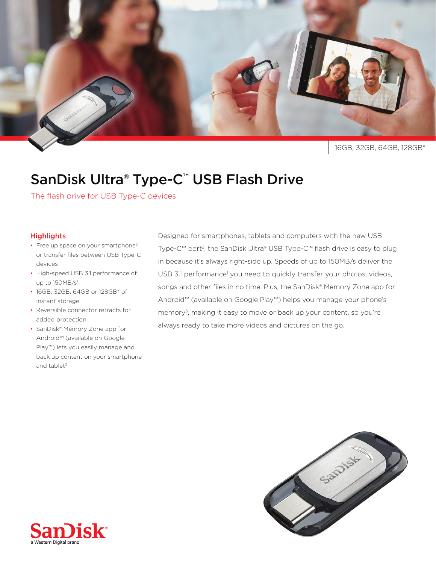

## SanDisk Ultra® Type-C<sup>™</sup> USB Flash Drive

The flash drive for USB Type-C devices

## **Highlights**

- Free up space on your smartphone<sup>2</sup> or transfer files between USB Type-C devices
- High-speed USB 3.1 performance of up to 150MB/s<sup>1</sup>
- 16GB, 32GB, 64GB or 128GB\* of instant storage
- Reversible connector retracts for added protection
- SanDisk<sup>®</sup> Memory Zone app for Android™ (available on Google Play™) lets you easily manage and back up content on your smartphone and tablet $3$

Designed for smartphones, tablets and computers with the new USB Type-C™ port<sup>2</sup>, the SanDisk Ultra® USB Type-C™ flash drive is easy to plug in because it's always right-side up. Speeds of up to 150MB/s deliver the USB 3.1 performance<sup>1</sup> you need to quickly transfer your photos, videos, songs and other files in no time. Plus, the SanDisk<sup>®</sup> Memory Zone app for Android™ (available on Google Play™) helps you manage your phone's memory<sup>3</sup>, making it easy to move or back up your content, so you're always ready to take more videos and pictures on the go.